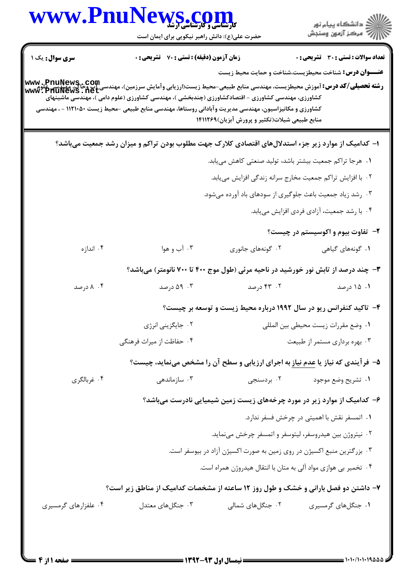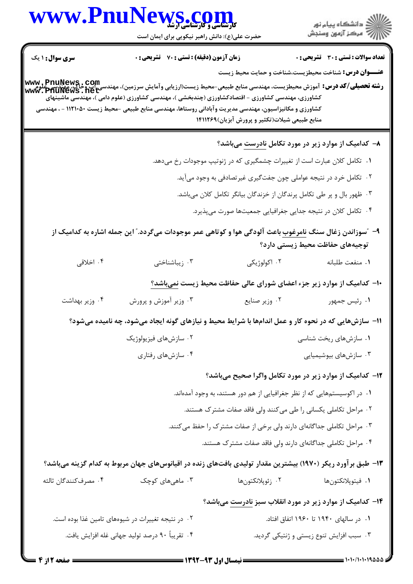## www.PnuNews.com

ے<br>کا اللہ کا استگاہ پیام نور<br>کا اللہ میکز آزمون وسنجش

حضرت علی(ع): دانش راهبر نیکویی برای ایمان است

| <b>سری سوال : ۱ یک</b>                                                                                                                                                                                                                  | زمان آزمون (دقیقه) : تستی : 70 ٪ تشریحی : 0                                                                   |                                                                              |                                                                  | <b>تعداد سوالات : تستی : 30 ٪ تشریحی : 0</b> |
|-----------------------------------------------------------------------------------------------------------------------------------------------------------------------------------------------------------------------------------------|---------------------------------------------------------------------------------------------------------------|------------------------------------------------------------------------------|------------------------------------------------------------------|----------------------------------------------|
| <b>رشته تحصیلی/کد درس:</b> آموزش محیطزیست، مهندسی منابع طبیعی-محیط زیست(ارزیابی وآمایش سرزمین)، مهندســـــــــــــــ<br>Www . PfiuNews . net<br>Www . PfiuNews . الاطرم دامی )، مهندسی کشاورزی (چندبخشی )، مهندسی کشاورزی (علوم دامی )، | کشاورزی و مکانیزاسیون، مهندسی مدیریت وآبادانی روستاها، مهندسی منابع طبیعی –محیط زیست ۱۱۲۱۰۵۰ – ، مهندسی       | منابع طبیعی شیلات(تکثیر و پرورش آبزیان) ۱۴۱۱۲۶۹                              | <b>عنــــوان درس:</b> شناخت محیطزیست،شناخت و حمایت محیط زیست     |                                              |
|                                                                                                                                                                                                                                         |                                                                                                               |                                                                              | ۸– کدامیک از موارد زیر در مورد تکامل نادرست میباشد؟              |                                              |
|                                                                                                                                                                                                                                         |                                                                                                               | ۰۱ تکامل کلان عبارت است از تغییرات چشمگیری که در ژنوتیپ موجودات رخ میدهد.    |                                                                  |                                              |
|                                                                                                                                                                                                                                         |                                                                                                               | ۰۲ تکامل خرد در نتیجه عواملی چون جفتگیری غیرتصادفی به وجود میآید.            |                                                                  |                                              |
|                                                                                                                                                                                                                                         |                                                                                                               | ۰۳ نظهور بال و پر طی تکامل پرندگان از خزندگان بیانگر تکامل کلان میباشد.      |                                                                  |                                              |
|                                                                                                                                                                                                                                         |                                                                                                               | ۰۴ تکامل کلان در نتیجه جدایی جغرافیایی جمعیتها صورت میپذیرد.                 |                                                                  |                                              |
|                                                                                                                                                                                                                                         | ۹– ″سوزاندن زغال سنگ <u>نامرغوب</u> باعث آلودگی هوا و کوتاهی عمر موجودات میگردد.″ این جمله اشاره به کدامیک از |                                                                              | توجیههای حفاظت محیط زیستی دارد؟                                  |                                              |
| ۰۴ اخلاقی                                                                                                                                                                                                                               | ۰۳ زیباشناختی                                                                                                 |                                                                              | ۰۲ اکولوژیکی                                                     | ٠١. منفعت طلبانه                             |
|                                                                                                                                                                                                                                         |                                                                                                               | ∙ا− کدامیک از موارد زیر جزء اعضای شورای عالی حفاظت محیط زیست <u>نمیباشد؟</u> |                                                                  |                                              |
| ۰۴ وزیر بهداشت                                                                                                                                                                                                                          | ۰۳ وزیر آموزش و پرورش                                                                                         |                                                                              | ٠٢ وزير صنايع                                                    | ۰۱ رئیس جمهور                                |
|                                                                                                                                                                                                                                         | 1۱- سازشهایی که در نحوه کار و عمل اندامها با شرایط محیط و نیازهای گونه ایجاد میشود، چه نامیده میشود؟          |                                                                              |                                                                  |                                              |
|                                                                                                                                                                                                                                         | ۰۲ سازشهای فیزیولوژیک                                                                                         |                                                                              |                                                                  | ۰۱ سازشهای ریخت شناسی                        |
|                                                                                                                                                                                                                                         | ۰۴ سازشهای رفتاری                                                                                             |                                                                              |                                                                  | ۰۳ سازشهای بیوشیمیایی                        |
|                                                                                                                                                                                                                                         |                                                                                                               |                                                                              | ۱۲- کدامیک از موارد زیر در مورد تکامل واگرا صحیح میباشد؟         |                                              |
|                                                                                                                                                                                                                                         |                                                                                                               | ۰۱ در اکوسیستمهایی که از نظر جغرافیایی از هم دور هستند، به وجود آمدهاند.     |                                                                  |                                              |
|                                                                                                                                                                                                                                         |                                                                                                               | ۰۲ مراحل تکاملی یکسانی را طی میکنند ولی فاقد صفات مشترک هستند.               |                                                                  |                                              |
|                                                                                                                                                                                                                                         |                                                                                                               | ۰۳ مراحل تکاملی جداگانهای دارند ولی برخی از صفات مشترک را حفظ میکنند.        |                                                                  |                                              |
|                                                                                                                                                                                                                                         |                                                                                                               | ۰۴ مراحل تکاملی جداگانهای دارند ولی فاقد صفات مشترک هستند.                   |                                                                  |                                              |
|                                                                                                                                                                                                                                         | ۱۳– طبق بر آورد ریکر (۱۹۷۰) بیشترین مقدار تولیدی بافتهای زنده در اقیانوسهای جهان مربوط به کدام گزینه میباشد؟  |                                                                              |                                                                  |                                              |
| ۰۴ مصرفکنندگان ثالثه                                                                                                                                                                                                                    | ۰۳ ماهیهای کوچک                                                                                               | ۰۲ زئوپلانکتونها                                                             |                                                                  | ٠١ فيتوپلانكتونها                            |
|                                                                                                                                                                                                                                         |                                                                                                               |                                                                              | ۱۴– کدامیک از موارد زیر در مورد انقلاب سبز <u>نادرست</u> میباشد؟ |                                              |
|                                                                                                                                                                                                                                         | ۰۲ در نتیجه تغییرات در شیوههای تامین غذا بوده است.                                                            |                                                                              | ۰۱ در سالهای ۱۹۴۰ تا ۱۹۶۰ اتفاق افتاد.                           |                                              |
|                                                                                                                                                                                                                                         | ۰۴ تقریباً ۹۰ درصد تولید جهانی غله افزایش یافت.                                                               |                                                                              | ۰۳ سبب افزایش تنوع زیستی و ژنتیکی گردید.                         |                                              |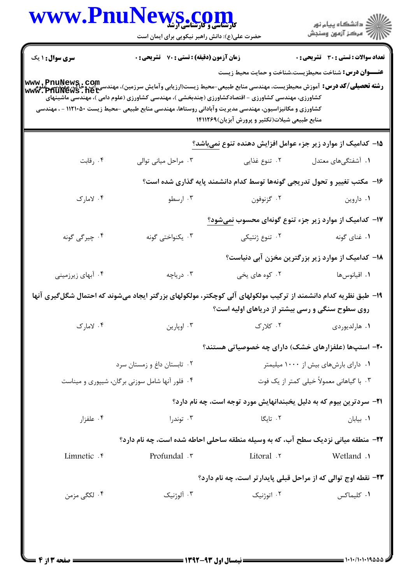|                        | www.PnuNews.com<br>حضرت علی(ع): دانش راهبر نیکویی برای ایمان است                                                                                                                                                                                                                                                                                                                          |                                                                                                                | ِ<br>∭ دانشڪاه پيام نور<br>∭ مرڪز آزمون وسنڊش |  |
|------------------------|-------------------------------------------------------------------------------------------------------------------------------------------------------------------------------------------------------------------------------------------------------------------------------------------------------------------------------------------------------------------------------------------|----------------------------------------------------------------------------------------------------------------|-----------------------------------------------|--|
| <b>سری سوال : ۱ یک</b> | زمان آزمون (دقیقه) : تستی : 70 ٪ تشریحی : 0                                                                                                                                                                                                                                                                                                                                               |                                                                                                                | تعداد سوالات : تستى : 30 قشريحى : 0           |  |
|                        | <b>www , PnuNews , Com</b><br><b>رشته تحصیلی/کد درس:</b> آموزش محیطزیست، مهندسی منابع طبیعی-محیط زیست(ارزیابی وآمایش سرزمین)، مهندسی آب وخاک، مهندس<br>www . PnuNews . net<br>کشاورزی، مهندسی کشاورزی - اقتصادکشاورزی (چندبخشی )، مهندسی کشاورزی (علوم دامی )، مهندسی ماشینهای<br>کشاورزی و مکانیزاسیون، مهندسی مدیریت وآبادانی روستاها، مهندسی منابع طبیعی –محیط زیست ۱۱۲۱۰۵۰ – ، مهندسی | <b>عنــــوان درس:</b> شناخت محیطزیست،شناخت و حمایت محیط زیست<br>منابع طبیعی شیلات(تکثیر و پرورش آبزیان)۱۴۱۱۲۶۹ |                                               |  |
|                        |                                                                                                                                                                                                                                                                                                                                                                                           | ۱۵– کدامیک از موارد زیر جزء عوامل افزایش دهنده تنوع نمیباشد؟                                                   |                                               |  |
| ۰۴ رقابت               | ۰۳ مراحل میانی توالی                                                                                                                                                                                                                                                                                                                                                                      | ۰۲ تنوع غذایی                                                                                                  | ۰۱ آشفتگیهای معتدل                            |  |
|                        |                                                                                                                                                                                                                                                                                                                                                                                           | ۱۶– مکتب تغییر و تحول تدریجی گونهها توسط کدام دانشمند پایه گذاری شده است؟                                      |                                               |  |
| ۰۴ لامارک              | ۰۳ ارسطو                                                                                                                                                                                                                                                                                                                                                                                  | ۰۲ گزنوفون                                                                                                     | ٠١ داروين                                     |  |
|                        | ۱۷- کدامیک از موارد زیر جزء تنوع گونهای محسوب نمیشود؟                                                                                                                                                                                                                                                                                                                                     |                                                                                                                |                                               |  |
| ۰۴ چیرگی گونه          | ۰۳ يکنواختى گونه                                                                                                                                                                                                                                                                                                                                                                          | ۰۲ تنوع ژنتیکی                                                                                                 | ۰۱ غنای گونه                                  |  |
|                        |                                                                                                                                                                                                                                                                                                                                                                                           | ۱۸– کدامیک از موارد زیر بزرگترین مخزن آبی دنیاست؟                                                              |                                               |  |
| ۰۴ آبهای زیرزمینی      | ۰۳ دریاچه                                                                                                                                                                                                                                                                                                                                                                                 | ۰۲ کوه های یخی                                                                                                 | ۰۱ اقيانوس ها                                 |  |
|                        | ۱۹– طبق نظریه کدام دانشمند از ترکیب مولکولهای آلی کوچکتر، مولکولهای بزرگتر ایجاد میشوند که احتمال شگلگیری آنها                                                                                                                                                                                                                                                                            | روی سطوح سنگی و رسی بیشتر از دریاهای اولیه است؟                                                                |                                               |  |
| ۰۴ لاما,ک              | ۰۳ اوپارین                                                                                                                                                                                                                                                                                                                                                                                | ۰۲ کلا <sub>ر</sub> ک                                                                                          | ۰۱ هارلديوردي                                 |  |
|                        |                                                                                                                                                                                                                                                                                                                                                                                           | ۲۰– استپها (علفزارهای خشک) دارای چه خصوصیاتی هستند؟                                                            |                                               |  |
|                        | ۰۲ تابستان داغ و زمستان سرد                                                                                                                                                                                                                                                                                                                                                               |                                                                                                                | ۰۱ دارای بارشهای بیش از ۱۰۰۰ میلیمتر          |  |
|                        | ۰۴ فلور آنها شامل سوزنی برگان، شیپوری و میناست                                                                                                                                                                                                                                                                                                                                            |                                                                                                                | ۰۳ با گیاهانی معمولاً خیلی کمتر از یک فوت     |  |
|                        |                                                                                                                                                                                                                                                                                                                                                                                           | <b>۲۱</b> - سردترین بیوم که به دلیل یخبندانهایش مورد توجه است، چه نام دارد؟                                    |                                               |  |
| ۰۴ علفزار              | ۰۳ توندرا                                                                                                                                                                                                                                                                                                                                                                                 | ۰۲ تانگا                                                                                                       | ۰۱ بیابان                                     |  |
|                        | 22-  منطقه میانی نزدیک سطح آب، که به وسیله منطقه ساحلی احاطه شده است، چه نام دارد؟                                                                                                                                                                                                                                                                                                        |                                                                                                                |                                               |  |
| Limnetic . ۴           | Profundal .                                                                                                                                                                                                                                                                                                                                                                               | Litoral .                                                                                                      | Wetland .                                     |  |
|                        |                                                                                                                                                                                                                                                                                                                                                                                           | ۲۳- نقطه اوج توالي که از مراحل قبلي پايدارتر است، چه نام دارد؟                                                 |                                               |  |
| ۰۴ لکگی مزمن           | ۰۳ آلوژنیک                                                                                                                                                                                                                                                                                                                                                                                | ۰۲ اتوژنیک                                                                                                     | ۰۱ کلیماکس                                    |  |